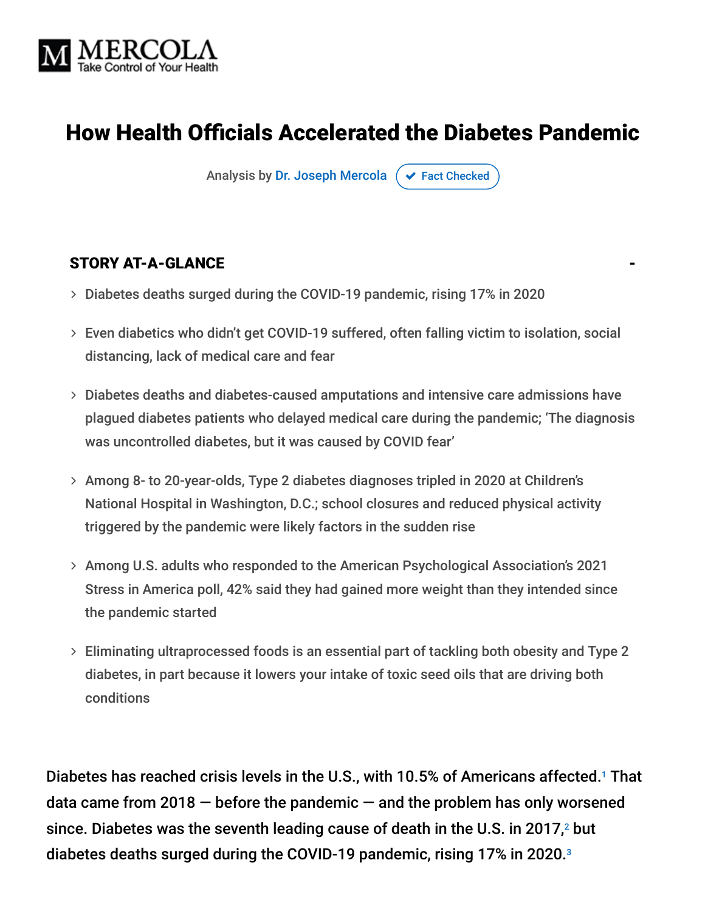

# How Health Officials Accelerated the Diabetes Pandemic

Analysis by [Dr. Joseph Mercola](https://www.mercola.com/forms/background.htm)  $\sigma$  [Fact Checked](javascript:void(0))

#### STORY AT-A-GLANCE

- Diabetes deaths surged during the COVID-19 pandemic, rising 17% in 2020
- Even diabetics who didn't get COVID-19 suffered, often falling victim to isolation, social distancing, lack of medical care and fear
- Diabetes deaths and diabetes-caused amputations and intensive care admissions have plagued diabetes patients who delayed medical care during the pandemic; 'The diagnosis was uncontrolled diabetes, but it was caused by COVID fear'
- Among 8- to 20-year-olds, Type 2 diabetes diagnoses tripled in 2020 at Children's National Hospital in Washington, D.C.; school closures and reduced physical activity triggered by the pandemic were likely factors in the sudden rise
- Among U.S. adults who responded to the American Psychological Association's 2021 Stress in America poll, 42% said they had gained more weight than they intended since the pandemic started
- Eliminating ultraprocessed foods is an essential part of tackling both obesity and Type 2 diabetes, in part because it lowers your intake of toxic seed oils that are driving both conditions

Diabetes has reached crisis levels in the U.S., with 10.5% of Americans affected.<sup>1</sup> That data came from 2018  $-$  before the pandemic  $-$  and the problem has only worsened since. Diabetes was the seventh leading cause of death in the U.S. in 2017, $^2$  but diabetes deaths surged during the COVID-19 pandemic, rising 17% in 2020. 3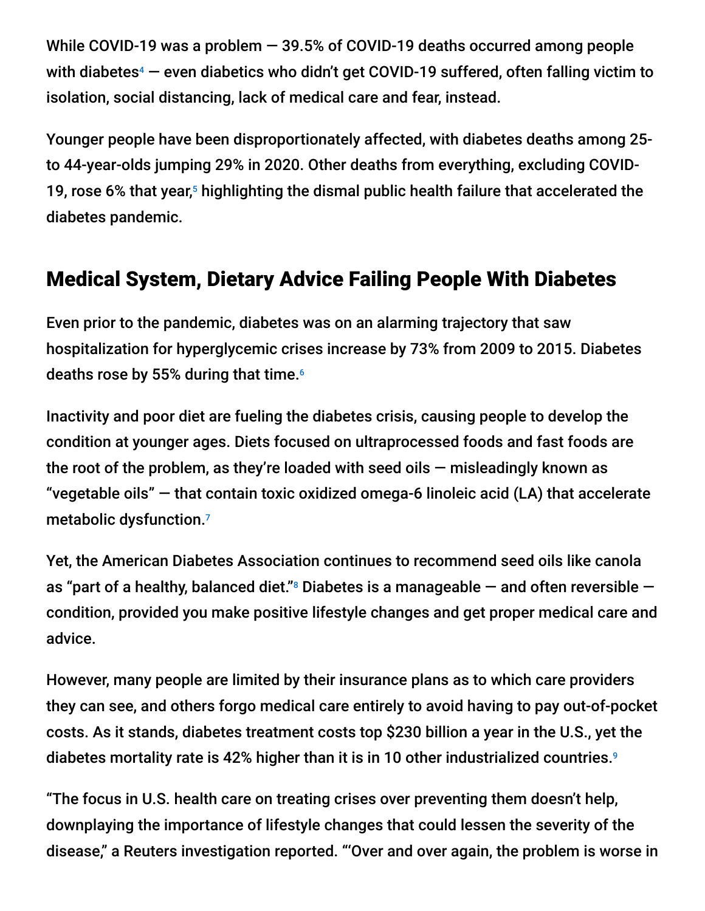While COVID-19 was a problem — 39.5% of COVID-19 deaths occurred among people with diabetes $4$  — even diabetics who didn't get COVID-19 suffered, often falling victim to isolation, social distancing, lack of medical care and fear, instead.

Younger people have been disproportionately affected, with diabetes deaths among 25 to 44-year-olds jumping 29% in 2020. Other deaths from everything, excluding COVID-19, rose 6% that year, $5$  highlighting the dismal public health failure that accelerated the diabetes pandemic.

# Medical System, Dietary Advice Failing People With Diabetes

Even prior to the pandemic, diabetes was on an alarming trajectory that saw hospitalization for hyperglycemic crises increase by 73% from 2009 to 2015. Diabetes deaths rose by 55% during that time. 6

Inactivity and poor diet are fueling the diabetes crisis, causing people to develop the condition at younger ages. Diets focused on ultraprocessed foods and fast foods are the root of the problem, as they're loaded with seed oils  $-$  misleadingly known as "vegetable oils" — that contain toxic oxidized omega-6 linoleic acid (LA) that accelerate metabolic dysfunction. 7

Yet, the American Diabetes Association continues to recommend seed oils like canola as "part of a healthy, balanced diet." $^{\rm s}$  Diabetes is a manageable  $-$  and often reversible  $$ condition, provided you make positive lifestyle changes and get proper medical care and advice.

However, many people are limited by their insurance plans as to which care providers they can see, and others forgo medical care entirely to avoid having to pay out-of-pocket costs. As it stands, diabetes treatment costs top \$230 billion a year in the U.S., yet the diabetes mortality rate is 42% higher than it is in 10 other industrialized countries. 9

"The focus in U.S. health care on treating crises over preventing them doesn't help, downplaying the importance of lifestyle changes that could lessen the severity of the disease," a Reuters investigation reported. "'Over and over again, the problem is worse in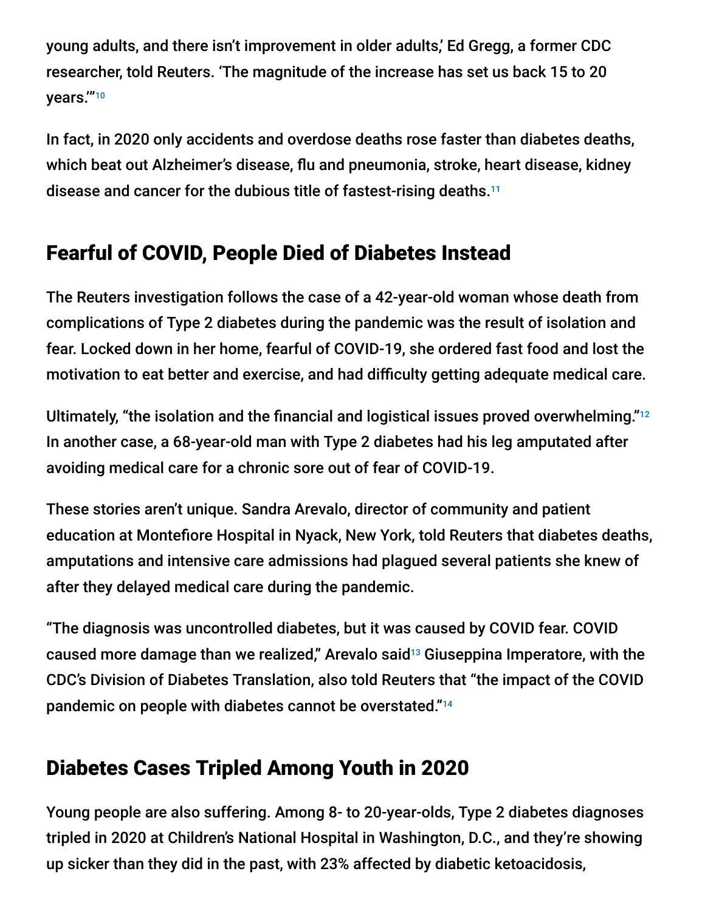young adults, and there isn't improvement in older adults,' Ed Gregg, a former CDC researcher, told Reuters. 'The magnitude of the increase has set us back 15 to 20 years.'"10

In fact, in 2020 only accidents and overdose deaths rose faster than diabetes deaths, which beat out Alzheimer's disease, flu and pneumonia, stroke, heart disease, kidney disease and cancer for the dubious title of fastest-rising deaths. 11

# Fearful of COVID, People Died of Diabetes Instead

The Reuters investigation follows the case of a 42-year-old woman whose death from complications of Type 2 diabetes during the pandemic was the result of isolation and fear. Locked down in her home, fearful of COVID-19, she ordered fast food and lost the motivation to eat better and exercise, and had difficulty getting adequate medical care.

Ultimately, "the isolation and the financial and logistical issues proved overwhelming."<sup>12</sup> In another case, a 68-year-old man with Type 2 diabetes had his leg amputated after avoiding medical care for a chronic sore out of fear of COVID-19.

These stories aren't unique. Sandra Arevalo, director of community and patient education at Montefiore Hospital in Nyack, New York, told Reuters that diabetes deaths, amputations and intensive care admissions had plagued several patients she knew of after they delayed medical care during the pandemic.

"The diagnosis was uncontrolled diabetes, but it was caused by COVID fear. COVID caused more damage than we realized," Arevalo said $^{13}$  Giuseppina Imperatore, with the CDC's Division of Diabetes Translation, also told Reuters that "the impact of the COVID pandemic on people with diabetes cannot be overstated." 14

# Diabetes Cases Tripled Among Youth in 2020

Young people are also suffering. Among 8- to 20-year-olds, Type 2 diabetes diagnoses tripled in 2020 at Children's National Hospital in Washington, D.C., and they're showing up sicker than they did in the past, with 23% affected by diabetic ketoacidosis,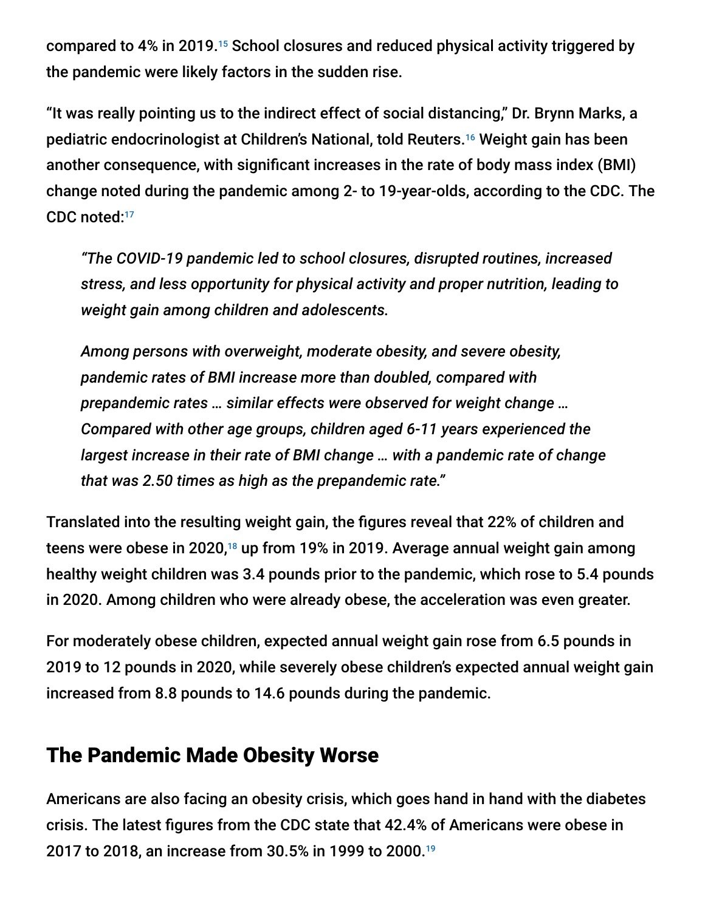compared to 4% in 2019.<sup>15</sup> School closures and reduced physical activity triggered by the pandemic were likely factors in the sudden rise.

"It was really pointing us to the indirect effect of social distancing," Dr. Brynn Marks, a pediatric endocrinologist at Children's National, told Reuters.<sup>16</sup> Weight gain has been another consequence, with significant increases in the rate of body mass index (BMI) change noted during the pandemic among 2- to 19-year-olds, according to the CDC. The CDC noted: 17

*"The COVID-19 pandemic led to school closures, disrupted routines, increased stress, and less opportunity for physical activity and proper nutrition, leading to weight gain among children and adolescents.*

*Among persons with overweight, moderate obesity, and severe obesity, pandemic rates of BMI increase more than doubled, compared with prepandemic rates … similar effects were observed for weight change … Compared with other age groups, children aged 6-11 years experienced the largest increase in their rate of BMI change … with a pandemic rate of change that was 2.50 times as high as the prepandemic rate."*

Translated into the resulting weight gain, the figures reveal that 22% of children and teens were obese in 2020,<sup>18</sup> up from 19% in 2019. Average annual weight gain among healthy weight children was 3.4 pounds prior to the pandemic, which rose to 5.4 pounds in 2020. Among children who were already obese, the acceleration was even greater.

For moderately obese children, expected annual weight gain rose from 6.5 pounds in 2019 to 12 pounds in 2020, while severely obese children's expected annual weight gain increased from 8.8 pounds to 14.6 pounds during the pandemic.

### The Pandemic Made Obesity Worse

Americans are also facing an obesity crisis, which goes hand in hand with the diabetes crisis. The latest figures from the CDC state that 42.4% of Americans were obese in 2017 to 2018, an increase from 30.5% in 1999 to 2000. 19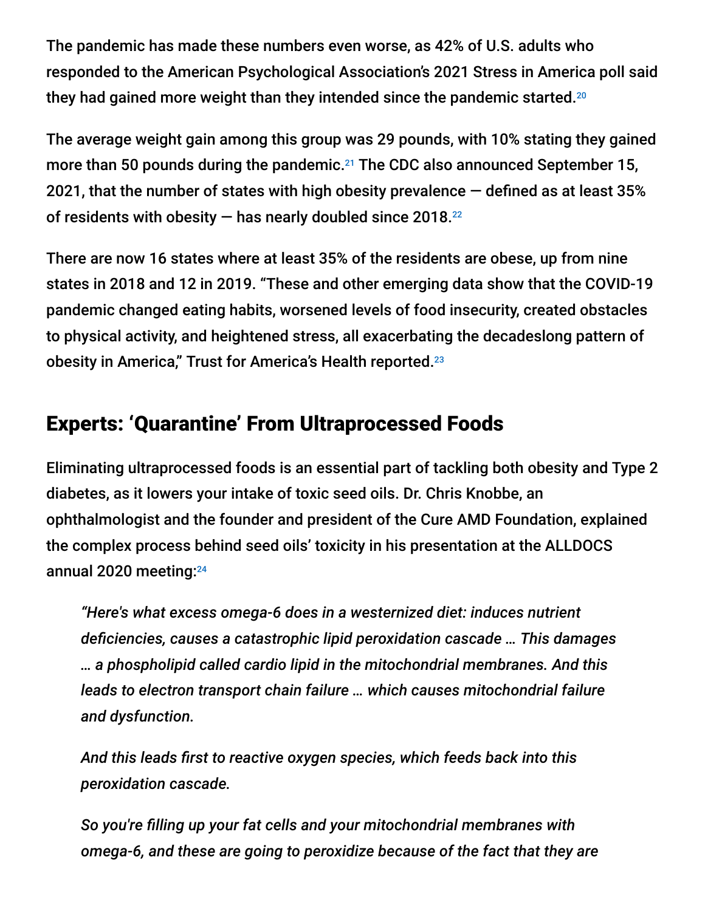The pandemic has made these numbers even worse, as 42% of U.S. adults who responded to the American Psychological Association's 2021 Stress in America poll said they had gained more weight than they intended since the pandemic started. $^{20}$ 

The average weight gain among this group was 29 pounds, with 10% stating they gained more than 50 pounds during the pandemic. $21$  The CDC also announced September 15, 2021, that the number of states with high obesity prevalence  $-$  defined as at least 35% of residents with obesity  $-$  has nearly doubled since 2018. $^{22}$ 

There are now 16 states where at least 35% of the residents are obese, up from nine states in 2018 and 12 in 2019. "These and other emerging data show that the COVID-19 pandemic changed eating habits, worsened levels of food insecurity, created obstacles to physical activity, and heightened stress, all exacerbating the decadeslong pattern of obesity in America," Trust for America's Health reported. 23

# Experts: 'Quarantine' From Ultraprocessed Foods

Eliminating ultraprocessed foods is an essential part of tackling both obesity and Type 2 diabetes, as it lowers your intake of toxic seed oils. Dr. Chris Knobbe, an ophthalmologist and the founder and president of the Cure AMD Foundation, explained the complex process behind seed oils' toxicity in his presentation at the ALLDOCS annual 2020 meeting: 24

*"Here's what excess omega-6 does in a westernized diet: induces nutrient deficiencies, causes a catastrophic lipid peroxidation cascade … This damages … a phospholipid called cardio lipid in the mitochondrial membranes. And this leads to electron transport chain failure … which causes mitochondrial failure and dysfunction.*

*And this leads first to reactive oxygen species, which feeds back into this peroxidation cascade.*

*So you're filling up your fat cells and your mitochondrial membranes with omega-6, and these are going to peroxidize because of the fact that they are*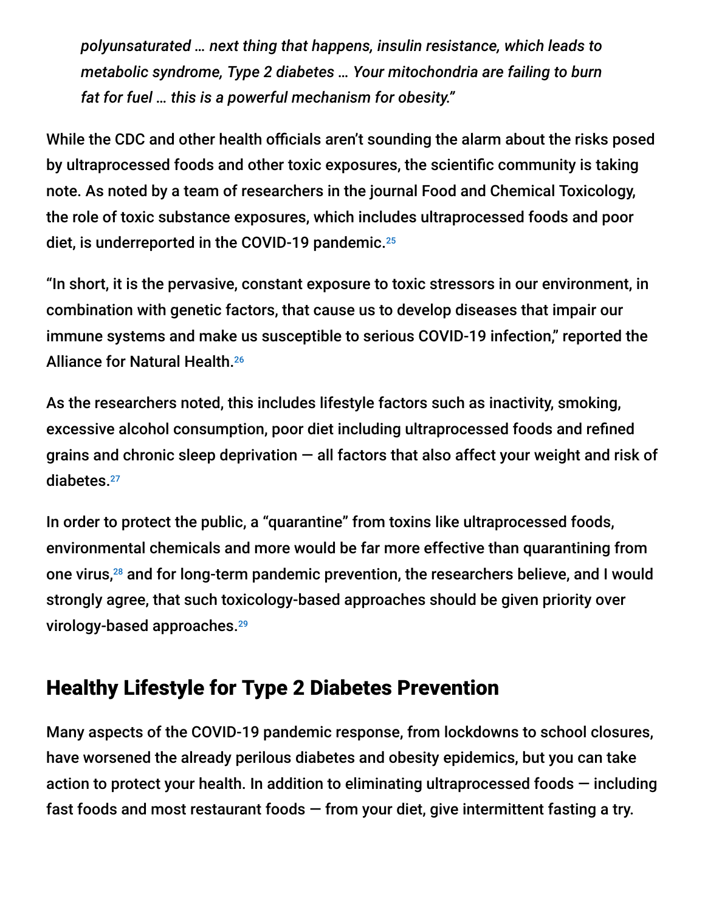*polyunsaturated … next thing that happens, insulin resistance, which leads to metabolic syndrome, Type 2 diabetes … Your mitochondria are failing to burn fat for fuel … this is a powerful mechanism for obesity."*

While the CDC and other health officials aren't sounding the alarm about the risks posed by ultraprocessed foods and other toxic exposures, the scientific community is taking note. As noted by a team of researchers in the journal Food and Chemical Toxicology, the role of toxic substance exposures, which includes ultraprocessed foods and poor diet, is underreported in the COVID-19 pandemic. 25

"In short, it is the pervasive, constant exposure to toxic stressors in our environment, in combination with genetic factors, that cause us to develop diseases that impair our immune systems and make us susceptible to serious COVID-19 infection," reported the Alliance for Natural Health. 26

As the researchers noted, this includes lifestyle factors such as inactivity, smoking, excessive alcohol consumption, poor diet including ultraprocessed foods and refined grains and chronic sleep deprivation — all factors that also affect your weight and risk of diabetes. 27

In order to protect the public, a "quarantine" from toxins like ultraprocessed foods, environmental chemicals and more would be far more effective than quarantining from one virus,<sup>28</sup> and for long-term pandemic prevention, the researchers believe, and I would strongly agree, that such toxicology-based approaches should be given priority over virology-based approaches. 29

## Healthy Lifestyle for Type 2 Diabetes Prevention

Many aspects of the COVID-19 pandemic response, from lockdowns to school closures, have worsened the already perilous diabetes and obesity epidemics, but you can take action to protect your health. In addition to eliminating ultraprocessed foods  $-$  including fast foods and most restaurant foods — from your diet, give intermittent fasting a try.